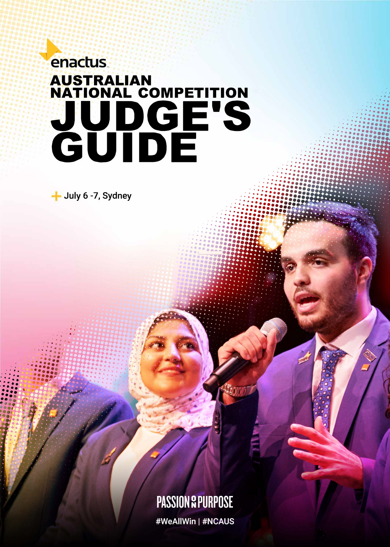# **enactus** AUSTRALIAN<br>NATIONAL COMPETITION<br>JUDGE'S<br>GUIDE

- July 6 - 7, Sydney

### **PASSION & PURPOSE**

#WeAllWin | #NCAUS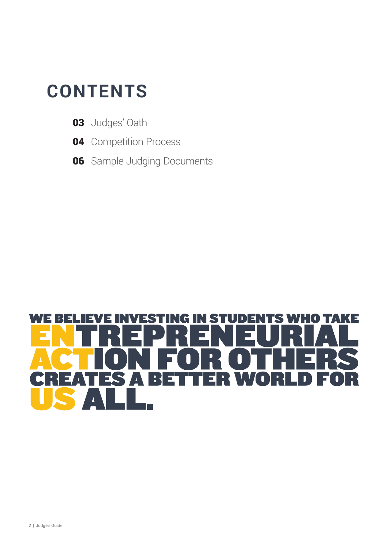### **CONTENTS**

- **03** Judges' Oath
- **04** Competition Process
- **06** Sample Judging Documents

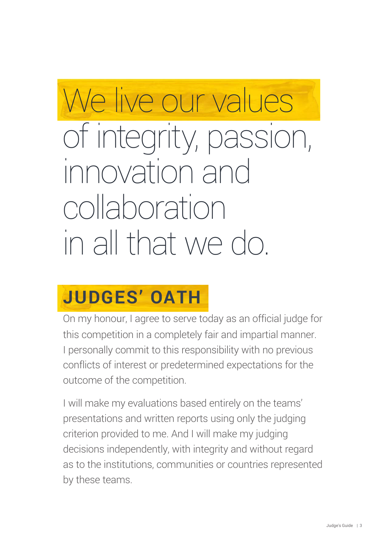# We live our values

# of integrity, passion, innovation and collaboration in all that we do.

# **JUDGES' OATH**

On my honour, I agree to serve today as an official judge for this competition in a completely fair and impartial manner. I personally commit to this responsibility with no previous conflicts of interest or predetermined expectations for the outcome of the competition.

I will make my evaluations based entirely on the teams' presentations and written reports using only the judging criterion provided to me. And I will make my judging decisions independently, with integrity and without regard as to the institutions, communities or countries represented by these teams.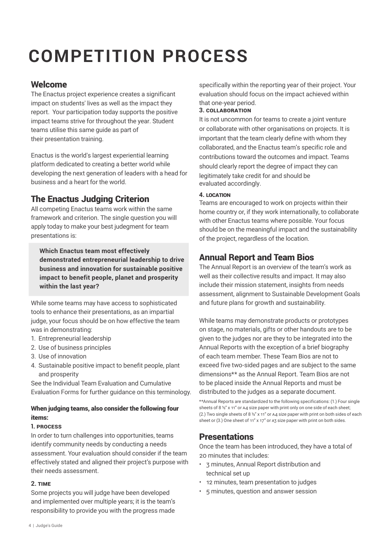# **COMPETITION PROCESS**

#### Welcome

The Enactus project experience creates a significant impact on students' lives as well as the impact they report. Your participation today supports the positive impact teams strive for throughout the year. Student teams utilise this same guide as part of their presentation training.

Enactus is the world's largest experiential learning platform dedicated to creating a better world while developing the next generation of leaders with a head for business and a heart for the world.

#### The Enactus Judging Criterion

All competing Enactus teams work within the same framework and criterion. The single question you will apply today to make your best judegment for team presentations is:

**Which Enactus team most effectively demonstrated entrepreneurial leadership to drive business and innovation for sustainable positive impact to benefit people, planet and prosperity within the last year?**

While some teams may have access to sophisticated tools to enhance their presentations, as an impartial judge, your focus should be on how effective the team was in demonstrating:

- 1. Entrepreneurial leadership
- 2. Use of business principles
- 3. Use of innovation
- 4. Sustainable positive impact to benefit people, plant and prosperity

See the Individual Team Evaluation and Cumulative Evaluation Forms for further guidance on this terminology.

#### When judging teams, also consider the following four items:

#### **1. process**

In order to turn challenges into opportunities, teams identify community needs by conducting a needs assessment. Your evaluation should consider if the team effectively stated and aligned their project's purpose with their needs assessment.

#### **2. time**

Some projects you will judge have been developed and implemented over multiple years; it is the team's responsibility to provide you with the progress made specifically within the reporting year of their project. Your evaluation should focus on the impact achieved within that one-year period.

#### **3. collaboration**

It is not uncommon for teams to create a joint venture or collaborate with other organisations on projects. It is important that the team clearly define with whom they collaborated, and the Enactus team's specific role and contributions toward the outcomes and impact. Teams should clearly report the degree of impact they can legitimately take credit for and should be evaluated accordingly.

#### **4. location**

Teams are encouraged to work on projects within their home country or, if they work internationally, to collaborate with other Enactus teams where possible. Your focus should be on the meaningful impact and the sustainability of the project, regardless of the location.

#### Annual Report and Team Bios

The Annual Report is an overview of the team's work as well as their collective results and impact. It may also include their mission statement, insights from needs assessment, alignment to Sustainable Development Goals and future plans for growth and sustainability.

While teams may demonstrate products or prototypes on stage, no materials, gifts or other handouts are to be given to the judges nor are they to be integrated into the Annual Reports with the exception of a brief biography of each team member. These Team Bios are not to exceed five two-sided pages and are subject to the same dimensions\*\* as the Annual Report. Team Bios are not to be placed inside the Annual Reports and must be distributed to the judges as a separate document.

\*\*Annual Reports are standardized to the following specifications: (1.) Four single sheets of 8 ½" x 11" or A4 size paper with print only on one side of each sheet; (2.) Two single sheets of 8  $\frac{1}{2}$ " x 11" or A4 size paper with print on both sides of each sheet or (3.) One sheet of 11" x 17" or A3 size paper with print on both sides.

#### **Presentations**

Once the team has been introduced, they have a total of 20 minutes that includes:

- 3 minutes, Annual Report distribution and technical set up
- 12 minutes, team presentation to judges
- 5 minutes, question and answer session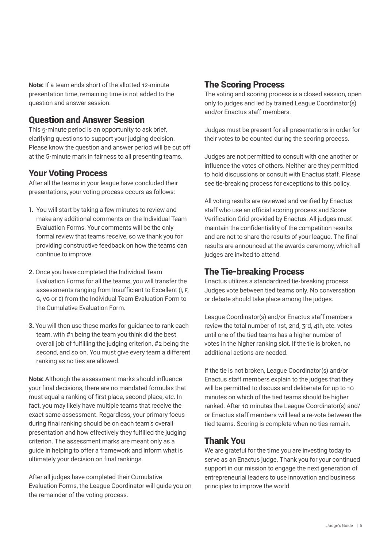**Note:** If a team ends short of the allotted 12-minute presentation time, remaining time is not added to the question and answer session.

#### Question and Answer Session

This 5-minute period is an opportunity to ask brief, clarifying questions to support your judging decision. Please know the question and answer period will be cut off at the 5-minute mark in fairness to all presenting teams.

#### Your Voting Process

After all the teams in your league have concluded their presentations, your voting process occurs as follows:

- **1.** You will start by taking a few minutes to review and make any additional comments on the Individual Team Evaluation Forms. Your comments will be the only formal review that teams receive, so we thank you for providing constructive feedback on how the teams can continue to improve.
- **2.** Once you have completed the Individual Team Evaluation Forms for all the teams, you will transfer the assessments ranging from Insufficient to Excellent (I, F, G, VG or E) from the Individual Team Evaluation Form to the Cumulative Evaluation Form.
- **3.** You will then use these marks for guidance to rank each team, with #1 being the team you think did the best overall job of fulfilling the judging criterion, #2 being the second, and so on. You must give every team a different ranking as no ties are allowed.

**Note:** Although the assessment marks should influence your final decisions, there are no mandated formulas that must equal a ranking of first place, second place, etc. In fact, you may likely have multiple teams that receive the exact same assessment. Regardless, your primary focus during final ranking should be on each team's overall presentation and how effectively they fulfilled the judging criterion. The assessment marks are meant only as a guide in helping to offer a framework and inform what is ultimately your decision on final rankings.

After all judges have completed their Cumulative Evaluation Forms, the League Coordinator will guide you on the remainder of the voting process.

#### The Scoring Process

The voting and scoring process is a closed session, open only to judges and led by trained League Coordinator(s) and/or Enactus staff members.

Judges must be present for all presentations in order for their votes to be counted during the scoring process.

Judges are not permitted to consult with one another or influence the votes of others. Neither are they permitted to hold discussions or consult with Enactus staff. Please see tie-breaking process for exceptions to this policy.

All voting results are reviewed and verified by Enactus staff who use an official scoring process and Score Verification Grid provided by Enactus. All judges must maintain the confidentiality of the competition results and are not to share the results of your league. The final results are announced at the awards ceremony, which all judges are invited to attend.

#### The Tie-breaking Process

Enactus utilizes a standardized tie-breaking process. Judges vote between tied teams only. No conversation or debate should take place among the judges.

League Coordinator(s) and/or Enactus staff members review the total number of 1st, 2nd, 3rd, 4th, etc. votes until one of the tied teams has a higher number of votes in the higher ranking slot. If the tie is broken, no additional actions are needed.

If the tie is not broken, League Coordinator(s) and/or Enactus staff members explain to the judges that they will be permitted to discuss and deliberate for up to 10 minutes on which of the tied teams should be higher ranked. After 10 minutes the League Coordinator(s) and/ or Enactus staff members will lead a re-vote between the tied teams. Scoring is complete when no ties remain.

#### Thank You

We are grateful for the time you are investing today to serve as an Enactus judge. Thank you for your continued support in our mission to engage the next generation of entrepreneurial leaders to use innovation and business principles to improve the world.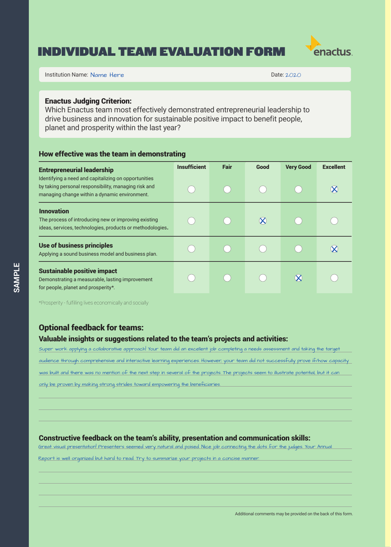#### INDIVIDUAL TEAM EVALUATION FORM



Institution Name: Name: Here **Institution Name:** Name: Here **Institution Name: Name: Here** Institution Name: 1992.0

Name Here **2020** 

#### Enactus Judging Criterion:

Which Enactus team most effectively demonstrated entrepreneurial leadership to drive business and innovation for sustainable positive impact to benefit people, planet and prosperity within the last year?

#### How effective was the team in demonstrating

| <b>Entrepreneurial leadership</b>                                                                                                                             | <b>Insufficient</b> | <b>Fair</b> | Good | <b>Very Good</b> | <b>Excellent</b> |
|---------------------------------------------------------------------------------------------------------------------------------------------------------------|---------------------|-------------|------|------------------|------------------|
| Identifying a need and capitalizing on opportunities<br>by taking personal responsibility, managing risk and<br>managing change within a dynamic environment. |                     |             |      |                  |                  |
| <b>Innovation</b><br>The process of introducing new or improving existing<br>ideas, services, technologies, products or methodologies.                        |                     |             |      |                  |                  |
| Use of business principles<br>Applying a sound business model and business plan.                                                                              |                     |             |      |                  |                  |
| <b>Sustainable positive impact</b><br>Demonstrating a measurable, lasting improvement<br>for people, planet and prosperity*.                                  |                     |             |      |                  |                  |

\*Prosperity - fulfilling lives economically and socially

#### Optional feedback for teams:

#### Valuable insights or suggestions related to the team's projects and activities:

Super work applying a collaborative approach! Your team did an excellent job completing a needs assessment and taking the target audience through comprehensive and interactive learning experiences. However, your team did not successfully prove if/how capacity was built and there was no mention of the next step in several of the projects. The projects seem to illustrate potential, but it can only be proven by making strong strides toward empowering the beneficiaries.

#### Constructive feedback on the team's ability, presentation and communication skills:

Great visual presentation! Presenters seemed very natural and poised. Nice job connecting the dots for the judges. Your Annual

Report is well organized but hard to read. Try to summarize your projects in a concise manner.

6 | Judge's Guide